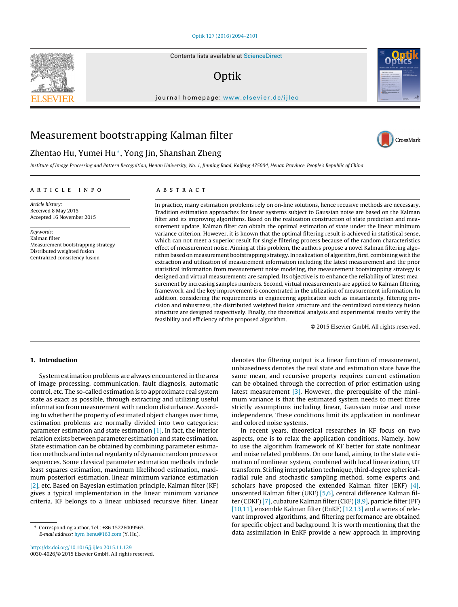Contents lists available at [ScienceDirect](http://www.sciencedirect.com/science/journal/00304026)

## Optik



iournal homepage: [www.elsevier.de/ijleo](http://www.elsevier.de/ijleo)

## Measurement bootstrapping Kalman filter

### Zhentao Hu, Yumei Hu∗, Yong Jin, Shanshan Zheng



Institute of Image Processing and Pattern Recognition, Henan University, No. 1, Jinming Road, Kaifeng 475004, Henan Province, People's Republic of China

#### a r t i c l e i n f o

Article history: Received 8 May 2015 Accepted 16 November 2015

Keywords: Kalman filter Measurement bootstrapping strategy Distributed weighted fusion Centralized consistency fusion

#### A B S T R A C T

In practice, many estimation problems rely on on-line solutions, hence recusive methods are necessary. Tradition estimation approaches for linear systems subject to Gaussian noise are based on the Kalman filter and its improving algorithms. Based on the realization construction of state prediction and measurement update, Kalman filter can obtain the optimal estimation of state under the linear minimum variance criterion. However, it is known that the optimal filtering result is achieved in statistical sense, which can not meet a superior result for single filtering process because of the random characteristics effect of measurement noise. Aiming at this problem, the authors propose a novel Kalman filtering algorithm based on measurement bootstrapping strategy. In realization of algorithm, first, combining with the extraction and utilization of measurement information including the latest measurement and the prior statistical information from measurement noise modeling, the measurement bootstrapping strategy is designed and virtual measurements are sampled. Its objective is to enhance the reliability of latest measurement by increasing samples numbers. Second, virtual measurements are applied to Kalman filtering framework, and the key improvement is concentrated in the utilization of measurement information. In addition, considering the requirements in engineering application such as instantaneity, filtering precision and robustness, the distributed weighted fusion structure and the centralized consistency fusion structure are designed respectively. Finally, the theoretical analysis and experimental results verify the feasibility and efficiency of the proposed algorithm.

© 2015 Elsevier GmbH. All rights reserved.

#### **1. Introduction**

System estimation problems are always encountered in the area of image processing, communication, fault diagnosis, automatic control, etc. The so-called estimation is to approximate real system state as exact as possible, through extracting and utilizing useful information from measurement with random disturbance. According to whether the property of estimated object changes over time, estimation problems are normally divided into two categories: parameter estimation and state estimation [\[1\].](#page--1-0) In fact, the interior relation exists between parameter estimation and state estimation. State estimation can be obtained by combining parameter estimation methods and internal regularity of dynamic random process or sequences. Some classical parameter estimation methods include least squares estimation, maximum likelihood estimation, maximum posteriori estimation, linear minimum variance estimation [\[2\],](#page--1-0) etc. Based on Bayesian estimation principle, Kalman filter (KF) gives a typical implementation in the linear minimum variance criteria. KF belongs to a linear unbiased recursive filter. Linear

[http://dx.doi.org/10.1016/j.ijleo.2015.11.129](dx.doi.org/10.1016/j.ijleo.2015.11.129) 0030-4026/© 2015 Elsevier GmbH. All rights reserved.

denotes the filtering output is a linear function of measurement, unbiasedness denotes the real state and estimation state have the same mean, and recursive property requires current estimation can be obtained through the correction of prior estimation using latest measurement  $\left[3\right]$ . However, the prerequisite of the minimum variance is that the estimated system needs to meet three strictly assumptions including linear, Gaussian noise and noise independence. These conditions limit its application in nonlinear and colored noise systems.

In recent years, theoretical researches in KF focus on two aspects, one is to relax the application conditions. Namely, how to use the algorithm framework of KF better for state nonlinear and noise related problems. On one hand, aiming to the state estimation of nonlinear system, combined with local linearization, UT transform, Stirling interpolation technique,third-degree sphericalradial rule and stochastic sampling method, some experts and scholars have proposed the extended Kalman filter (EKF) [\[4\],](#page--1-0) unscented Kalman filter (UKF) [\[5,6\],](#page--1-0) central difference Kalman filter (CDKF) [\[7\],](#page--1-0) cubature Kalman filter (CKF) [\[8,9\],](#page--1-0) particle filter (PF) [\[10,11\],](#page--1-0) ensemble Kalman filter (EnKF) [\[12,13\]](#page--1-0) and a series of relevant improved algorithms, and filtering performance are obtained for specific object and background. It is worth mentioning that the data assimilation in EnKF provide a new approach in improving



<sup>∗</sup> Corresponding author. Tel.: +86 15226009563. E-mail address: hym [henu@163.com](mailto:hym_henu@163.com) (Y. Hu).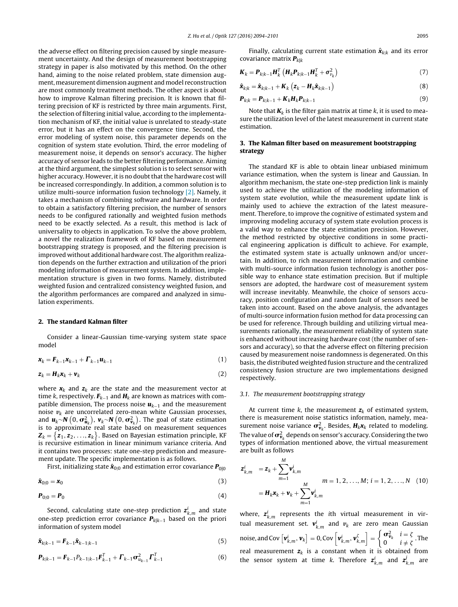the adverse effect on filtering precision caused by single measurement uncertainty. And the design of measurement bootstrapping strategy in paper is also motivated by this method. On the other hand, aiming to the noise related problem, state dimension augment, measurement dimension augment and model reconstruction are most commonly treatment methods. The other aspect is about how to improve Kalman filtering precision. It is known that filtering precision of KF is restricted by three main arguments. First, the selection of filtering initial value, according to the implementation mechanism of KF, the initial value is unrelated to steady-state error, but it has an effect on the convergence time. Second, the error modeling of system noise, this parameter depends on the cognition of system state evolution. Third, the error modeling of measurement noise, it depends on sensor's accuracy. The higher accuracy of sensor leads to the better filtering performance. Aiming at the third argument, the simplest solution is to select sensor with higher accuracy. However, it is no doubt that the hardware cost will be increased correspondingly. In addition, a common solution is to utilize multi-source information fusion technology [\[2\].](#page--1-0) Namely, it takes a mechanism of combining software and hardware. In order to obtain a satisfactory filtering precision, the number of sensors needs to be configured rationally and weighted fusion methods need to be exactly selected. As a result, this method is lack of universality to objects in application. To solve the above problem, a novel the realization framework of KF based on measurement bootstrapping strategy is proposed, and the filtering precision is improved without additional hardware cost. The algorithm realization depends on the further extraction and utilization of the priori modeling information of measurement system. In addition, implementation structure is given in two forms. Namely, distributed weighted fusion and centralized consistency weighted fusion, and the algorithm performances are compared and analyzed in simulation experiments.

#### **2. The standard Kalman filter**

Consider a linear-Gaussian time-varying system state space model

$$
\boldsymbol{x}_k = \boldsymbol{F}_{k-1}\boldsymbol{x}_{k-1} + \boldsymbol{\Gamma}_{k-1}\boldsymbol{u}_{k-1} \tag{1}
$$

$$
\mathbf{z}_k = \mathbf{H}_k \mathbf{x}_k + \mathbf{v}_k \tag{2}
$$

where  $x_k$  and  $z_k$  are the state and the measurement vector at time k, respectively.  $\mathbf{F}_{k-1}$  and  $\mathbf{H}_k$  are known as matrices with compatible dimension, The process noise  $\mathbf{u}_{k-1}$  and the measurement noise  $v_k$  are uncorrelated zero-mean white Gaussian processes, and  $\mathbf{u}_k \sim \mathbf{N}$   $(0, \sigma_{\mathbf{u}_k}^2)$ ,  $\mathbf{v}_k \sim \mathbf{N}$   $(0, \sigma_{\mathbf{v}_k}^2)$ . The goal of state estimation is to approximate real state based on measurement sequences  $\mathbf{Z}_k = \{z_1, z_2, \ldots, z_k\}$ . Based on Bayesian estimation principle, KF is requiring estimation in linear minimum variance criteria. And is recursive estimation in linear minimum variance criteria. And it contains two processes: state one-step prediction and measurement update. The specific implementation is as follows.

First, initializing state  $\hat{\boldsymbol{x}}_{0|0}$  and estimation error covariance  $\boldsymbol{P}_{0|0}$ 

$$
\hat{\mathbf{x}}_{0|0} = \mathbf{x}_0 \tag{3}
$$

$$
\boldsymbol{P}_{0|0} = \boldsymbol{P}_0 \tag{4}
$$

Second, calculating state one-step prediction  $\mathbf{z}_{k,m}^l$  and state<br>a stap prediction error covariance  $\mathbf{p}_{k,k,m}$  based on the priori one-step prediction error covariance **<sup>P</sup>**k|k−<sup>1</sup> based on the priori information of system model

$$
\hat{\boldsymbol{x}}_{k|k-1} = \boldsymbol{F}_{k-1} \hat{\boldsymbol{x}}_{k-1|k-1} \tag{5}
$$

$$
\boldsymbol{P}_{k|k-1} = \boldsymbol{F}_{k-1} P_{k-1|k-1} \boldsymbol{F}_{k-1}^T + \boldsymbol{\Gamma}_{k-1} \boldsymbol{\sigma}_{u_{k-1}}^2 \boldsymbol{\Gamma}_{k-1}^T
$$
(6)

Finally, calculating current state estimation  $\hat{\mathbf{x}}_{k|k}$  and its error **contained** covariance matrix  $P_{k|k}$ 

$$
\boldsymbol{K}_k = \boldsymbol{P}_{k|k-1} \boldsymbol{H}_k^T \left( \boldsymbol{H}_k \boldsymbol{P}_{k|k-1} \boldsymbol{H}_k^T + \sigma_{v_k}^2 \right) \tag{7}
$$

$$
\hat{\boldsymbol{x}}_{k|k} = \hat{\boldsymbol{x}}_{k|k-1} + \boldsymbol{K}_k \left( \boldsymbol{z}_k - \boldsymbol{H}_k \hat{\boldsymbol{x}}_{k|k-1} \right) \tag{8}
$$

$$
\boldsymbol{P}_{k|k} = \boldsymbol{P}_{k|k-1} + \boldsymbol{K}_k \boldsymbol{H}_k \boldsymbol{P}_{k|k-1} \tag{9}
$$

Note that  $K_k$  is the filter gain matrix at time  $k$ , it is used to measure the utilization level of the latest measurement in current state estimation.

#### **3. The Kalman filter based on measurement bootstrapping strategy**

The standard KF is able to obtain linear unbiased minimum variance estimation, when the system is linear and Gaussian. In algorithm mechanism, the state one-step prediction link is mainly used to achieve the utilization of the modeling information of system state evolution, while the measurement update link is mainly used to achieve the extraction of the latest measurement. Therefore, to improve the cognitive of estimated system and improving modeling accuracy of system state evolution process is a valid way to enhance the state estimation precision. However, the method restricted by objective conditions in some practical engineering application is difficult to achieve. For example, the estimated system state is actually unknown and/or uncertain. In addition, to rich measurement information and combine with multi-source information fusion technology is another possible way to enhance state estimation precision. But if multiple sensors are adopted, the hardware cost of measurement system will increase inevitably. Meanwhile, the choice of sensors accuracy, position configuration and random fault of sensors need be taken into account. Based on the above analysis, the advantages of multi-source information fusion method for data processing can be used for reference. Through building and utilizing virtual measurements rationally, the measurement reliability of system state is enhanced without increasing hardware cost (the number of sensors and accuracy), so that the adverse effect on filtering precision caused by measurement noise randomness is degenerated. On this basis, the distributed weighted fusion structure and the centralized consistency fusion structure are two implementations designed respectively.

#### 3.1. The measurement bootstrapping strategy

At current time  $k$ , the measurement  $z_k$  of estimated system, there is measurement noise statistics information, namely, measurement noise variance  $\sigma_{v_k}^2$ . Besides,  $H_k x_k$  related to modeling. The value of  $\sigma_{\nu_k}^2$  depends on sensor's accuracy. Considering the two types of information mentioned above the virtual measurement types of information mentioned above, the virtual measurement are built as follows

$$
z_{k,m}^i = z_k + \sum_{m=1}^m v_{k,m}^i
$$
  
=  $H_k x_k + v_k + \sum_{m=1}^M v_{k,m}^i$   
 $m = 1, 2, ..., M; i = 1, 2, ..., N$  (10)

where,  $\mathbf{z}_{k,m}^l$  represents the *i*th virtual measurement in vir-<br>tual measurement est *of* a sed *u* are gave mean Gaussian tual measurement set.  $\mathbf{v}_{k,m}^i$  and  $\mathbf{v}_k$  are zero mean Gaussian noise, and Cov  $\left[\mathbf{v}_{k,m}^i, \mathbf{v}_k\right] = 0$ , Cov  $\left[\mathbf{v}_{k,m}^i, \mathbf{v}_{k,m}^{\zeta}\right] = \begin{cases} \sigma_{\mathbf{v}_k}^2 & i = \zeta \\ 0 & i \neq \zeta \end{cases}$ . The real measurement  $z_k$  is a constant when it is obtained from the sensor system at time *k*. Therefore  $\mathbf{z}_{k,m}^l$  and  $\mathbf{z}_{k,m}^l$  are